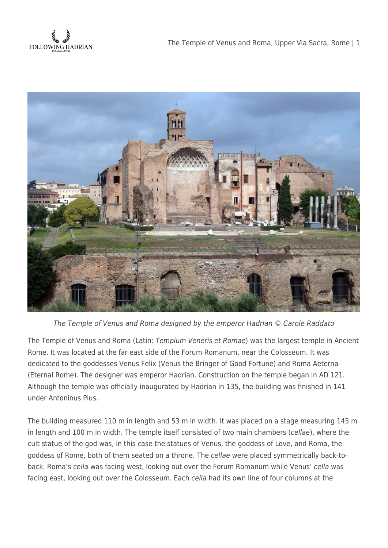



The Temple of Venus and Roma designed by the emperor Hadrian © Carole Raddato

The Temple of Venus and Roma (Latin: Templum Veneris et Romae) was the largest temple in Ancient Rome. It was located at the far east side of the Forum Romanum, near the Colosseum. It was dedicated to the goddesses Venus Felix (Venus the Bringer of Good Fortune) and Roma Aeterna (Eternal Rome). The designer was emperor Hadrian. Construction on the temple began in AD 121. Although the temple was officially inaugurated by Hadrian in 135, the building was finished in 141 under Antoninus Pius.

The building measured 110 m in length and 53 m in width. It was placed on a stage measuring 145 m in length and 100 m in width. The temple itself consisted of two main chambers (cellae), where the cult statue of the god was, in this case the statues of Venus, the goddess of Love, and Roma, the goddess of Rome, both of them seated on a throne. The cellae were placed symmetrically back-toback. Roma's cella was facing west, looking out over the Forum Romanum while Venus' cella was facing east, looking out over the Colosseum. Each cella had its own line of four columns at the